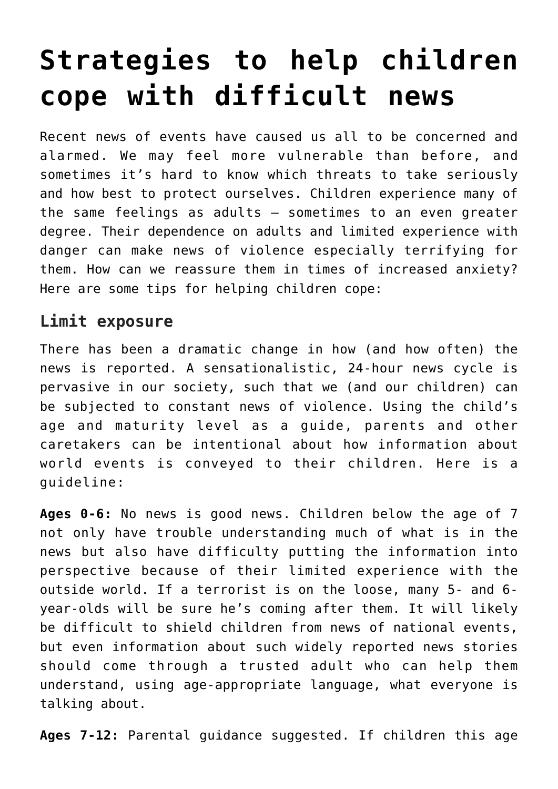# **[Strategies to help children](https://teachingcatholickids.com/strategies-to-help-children-cope-with-tragedies/) [cope with difficult news](https://teachingcatholickids.com/strategies-to-help-children-cope-with-tragedies/)**

Recent news of events have caused us all to be concerned and alarmed. We may feel more vulnerable than before, and sometimes it's hard to know which threats to take seriously and how best to protect ourselves. Children experience many of the same feelings as adults — sometimes to an even greater degree. Their dependence on adults and limited experience with danger can make news of violence especially terrifying for them. How can we reassure them in times of increased anxiety? Here are some tips for helping children cope:

## **Limit exposure**

There has been a dramatic change in how (and how often) the news is reported. A sensationalistic, 24-hour news cycle is pervasive in our society, such that we (and our children) can be subjected to constant news of violence. Using the child's age and maturity level as a guide, parents and other caretakers can be intentional about how information about world events is conveyed to their children. Here is a guideline:

**Ages 0-6:** No news is good news. Children below the age of 7 not only have trouble understanding much of what is in the news but also have difficulty putting the information into perspective because of their limited experience with the outside world. If a terrorist is on the loose, many 5- and 6 year-olds will be sure he's coming after them. It will likely be difficult to shield children from news of national events, but even information about such widely reported news stories should come through a trusted adult who can help them understand, using age-appropriate language, what everyone is talking about.

**Ages 7-12:** Parental guidance suggested. If children this age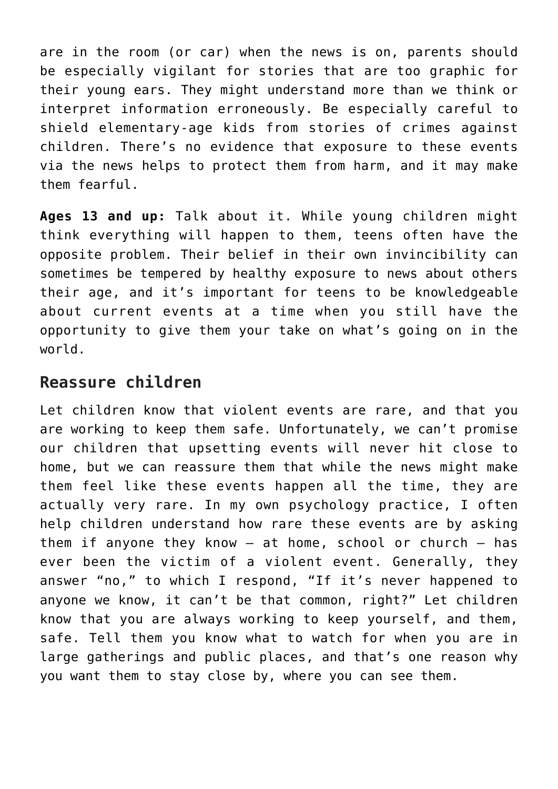are in the room (or car) when the news is on, parents should be especially vigilant for stories that are too graphic for their young ears. They might understand more than we think or interpret information erroneously. Be especially careful to shield elementary-age kids from stories of crimes against children. There's no evidence that exposure to these events via the news helps to protect them from harm, and it may make them fearful.

**Ages 13 and up:** Talk about it. While young children might think everything will happen to them, teens often have the opposite problem. Their belief in their own invincibility can sometimes be tempered by healthy exposure to news about others their age, and it's important for teens to be knowledgeable about current events at a time when you still have the opportunity to give them your take on what's going on in the world.

#### **Reassure children**

Let children know that violent events are rare, and that you are working to keep them safe. Unfortunately, we can't promise our children that upsetting events will never hit close to home, but we can reassure them that while the news might make them feel like these events happen all the time, they are actually very rare. In my own psychology practice, I often help children understand how rare these events are by asking them if anyone they know  $-$  at home, school or church  $-$  has ever been the victim of a violent event. Generally, they answer "no," to which I respond, "If it's never happened to anyone we know, it can't be that common, right?" Let children know that you are always working to keep yourself, and them, safe. Tell them you know what to watch for when you are in large gatherings and public places, and that's one reason why you want them to stay close by, where you can see them.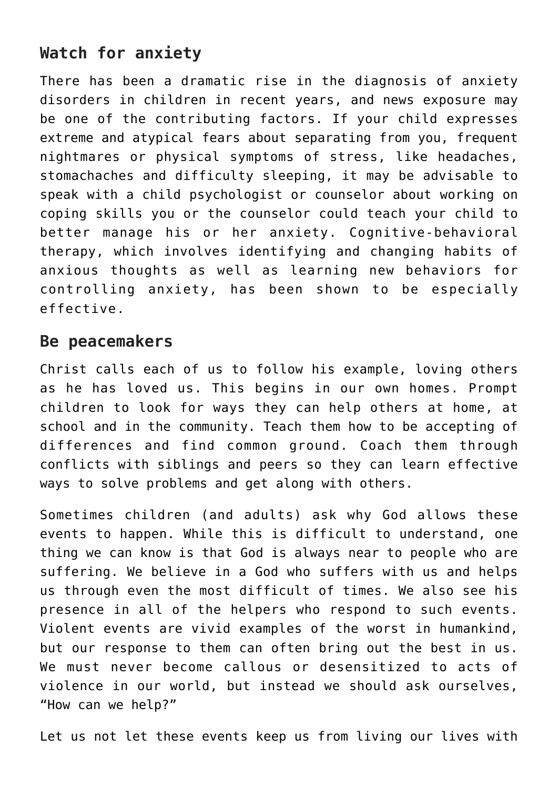## **Watch for anxiety**

There has been a dramatic rise in the diagnosis of anxiety disorders in children in recent years, and news exposure may be one of the contributing factors. If your child expresses extreme and atypical fears about separating from you, frequent nightmares or physical symptoms of stress, like headaches, stomachaches and difficulty sleeping, it may be advisable to speak with a child psychologist or counselor about working on coping skills you or the counselor could teach your child to better manage his or her anxiety. Cognitive-behavioral therapy, which involves identifying and changing habits of anxious thoughts as well as learning new behaviors for controlling anxiety, has been shown to be especially effective.

#### **Be peacemakers**

Christ calls each of us to follow his example, loving others as he has loved us. This begins in our own homes. Prompt children to look for ways they can help others at home, at school and in the community. Teach them how to be accepting of differences and find common ground. Coach them through conflicts with siblings and peers so they can learn effective ways to solve problems and get along with others.

Sometimes children (and adults) ask why God allows these events to happen. While this is difficult to understand, one thing we can know is that God is always near to people who are suffering. We believe in a God who suffers with us and helps us through even the most difficult of times. We also see his presence in all of the helpers who respond to such events. Violent events are vivid examples of the worst in humankind, but our response to them can often bring out the best in us. We must never become callous or desensitized to acts of violence in our world, but instead we should ask ourselves, "How can we help?"

Let us not let these events keep us from living our lives with